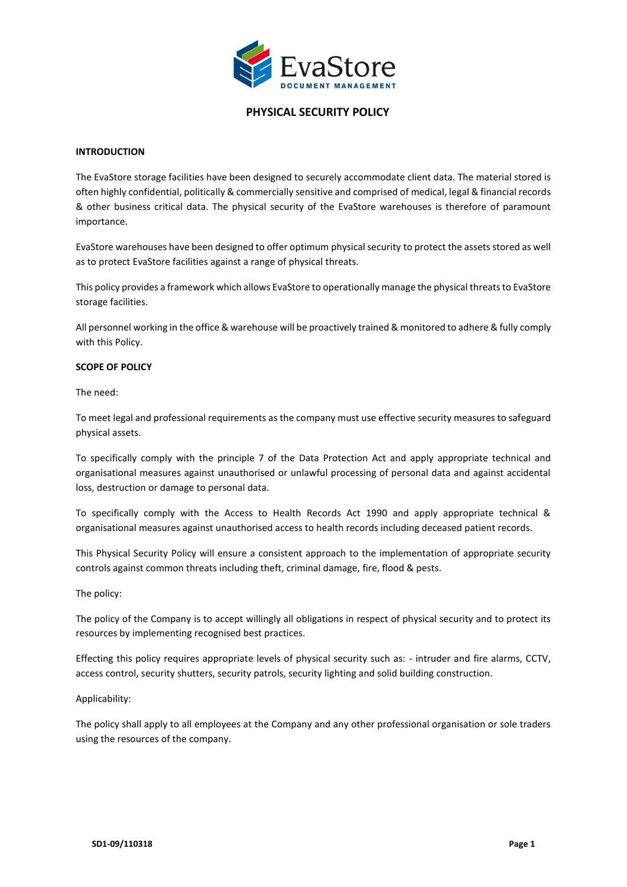

### **INTRODUCTION**

The EvaStore storage facilities have been designed to securely accommodate client data. The material stored is often highly confidential, politically & commercially sensitive and comprised of medical, legal & financial records & other business critical data. The physical security of the EvaStore warehouses is therefore of paramount importance.

EvaStore warehouses have been designed to offer optimum physical security to protect the assets stored as well as to protect EvaStore facilities against a range of physical threats.

This policy provides a framework which allows EvaStore to operationally manage the physical threats to EvaStore storage facilities.

All personnel working in the office & warehouse will be proactively trained & monitored to adhere & fully comply with this Policy.

### **SCOPE OF POLICY**

The need:

To meet legal and professional requirements as the company must use effective security measures to safeguard physical assets.

To specifically comply with the principle 7 of the Data Protection Act and apply appropriate technical and organisational measures against unauthorised or unlawful processing of personal data and against accidental loss, destruction or damage to personal data.

To specifically comply with the Access to Health Records Act 1990 and apply appropriate technical & organisational measures against unauthorised access to health records including deceased patient records.

This Physical Security Policy will ensure a consistent approach to the implementation of appropriate security controls against common threats including theft, criminal damage, fire, flood & pests.

#### The policy:

The policy of the Company is to accept willingly all obligations in respect of physical security and to protect its resources by implementing recognised best practices.

Effecting this policy requires appropriate levels of physical security such as: - intruder and fire alarms, CCTV, access control, security shutters, security patrols, security lighting and solid building construction.

#### Applicability:

The policy shall apply to all employees at the Company and any other professional organisation or sole traders using the resources of the company.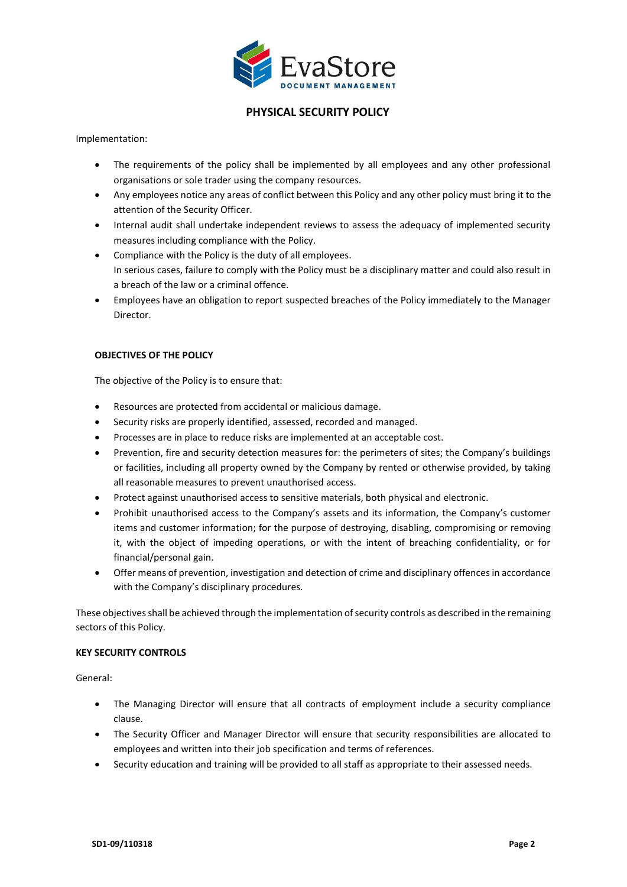

Implementation:

- The requirements of the policy shall be implemented by all employees and any other professional organisations or sole trader using the company resources.
- Any employees notice any areas of conflict between this Policy and any other policy must bring it to the attention of the Security Officer.
- Internal audit shall undertake independent reviews to assess the adequacy of implemented security measures including compliance with the Policy.
- Compliance with the Policy is the duty of all employees. In serious cases, failure to comply with the Policy must be a disciplinary matter and could also result in a breach of the law or a criminal offence.
- Employees have an obligation to report suspected breaches of the Policy immediately to the Manager Director.

### **OBJECTIVES OF THE POLICY**

The objective of the Policy is to ensure that:

- Resources are protected from accidental or malicious damage.
- Security risks are properly identified, assessed, recorded and managed.
- Processes are in place to reduce risks are implemented at an acceptable cost.
- Prevention, fire and security detection measures for: the perimeters of sites; the Company's buildings or facilities, including all property owned by the Company by rented or otherwise provided, by taking all reasonable measures to prevent unauthorised access.
- Protect against unauthorised access to sensitive materials, both physical and electronic.
- Prohibit unauthorised access to the Company's assets and its information, the Company's customer items and customer information; for the purpose of destroying, disabling, compromising or removing it, with the object of impeding operations, or with the intent of breaching confidentiality, or for financial/personal gain.
- Offer means of prevention, investigation and detection of crime and disciplinary offences in accordance with the Company's disciplinary procedures.

These objectives shall be achieved through the implementation of security controls as described in the remaining sectors of this Policy.

#### **KEY SECURITY CONTROLS**

General:

- The Managing Director will ensure that all contracts of employment include a security compliance clause.
- The Security Officer and Manager Director will ensure that security responsibilities are allocated to employees and written into their job specification and terms of references.
- Security education and training will be provided to all staff as appropriate to their assessed needs.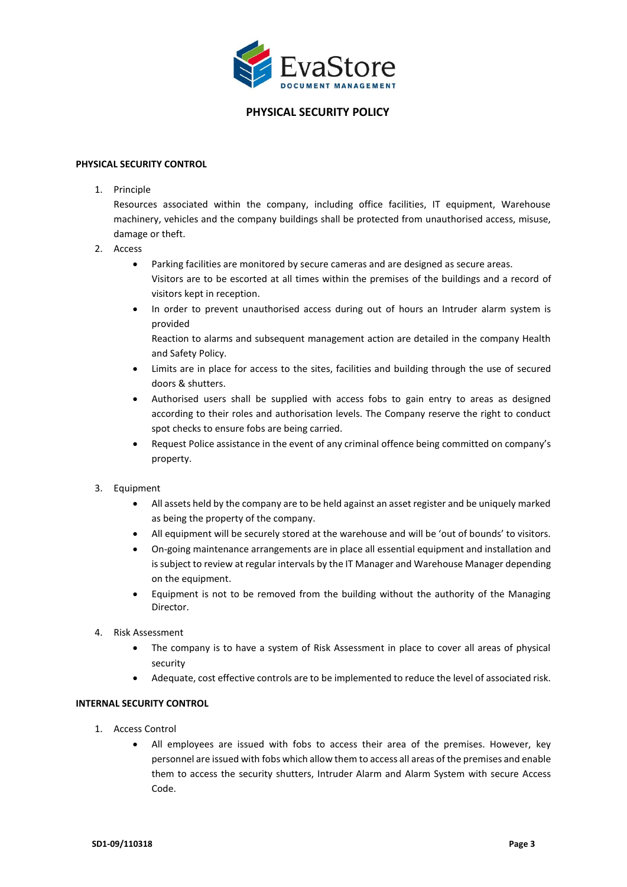

### **PHYSICAL SECURITY CONTROL**

1. Principle

Resources associated within the company, including office facilities, IT equipment, Warehouse machinery, vehicles and the company buildings shall be protected from unauthorised access, misuse, damage or theft.

- 2. Access
	- Parking facilities are monitored by secure cameras and are designed as secure areas. Visitors are to be escorted at all times within the premises of the buildings and a record of visitors kept in reception.
	- In order to prevent unauthorised access during out of hours an Intruder alarm system is provided

Reaction to alarms and subsequent management action are detailed in the company Health and Safety Policy.

- Limits are in place for access to the sites, facilities and building through the use of secured doors & shutters.
- Authorised users shall be supplied with access fobs to gain entry to areas as designed according to their roles and authorisation levels. The Company reserve the right to conduct spot checks to ensure fobs are being carried.
- Request Police assistance in the event of any criminal offence being committed on company's property.
- 3. Equipment
	- All assets held by the company are to be held against an asset register and be uniquely marked as being the property of the company.
	- All equipment will be securely stored at the warehouse and will be 'out of bounds' to visitors.
	- On-going maintenance arrangements are in place all essential equipment and installation and is subject to review at regular intervals by the IT Manager and Warehouse Manager depending on the equipment.
	- Equipment is not to be removed from the building without the authority of the Managing Director.
- 4. Risk Assessment
	- The company is to have a system of Risk Assessment in place to cover all areas of physical security
	- Adequate, cost effective controls are to be implemented to reduce the level of associated risk.

## **INTERNAL SECURITY CONTROL**

- 1. Access Control
	- All employees are issued with fobs to access their area of the premises. However, key personnel are issued with fobs which allow them to access all areas of the premises and enable them to access the security shutters, Intruder Alarm and Alarm System with secure Access Code.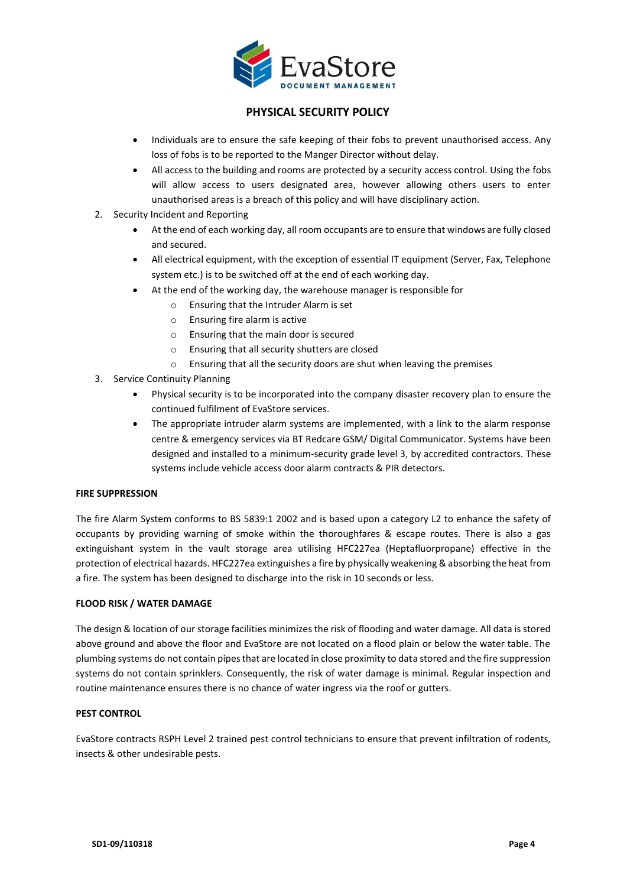

- Individuals are to ensure the safe keeping of their fobs to prevent unauthorised access. Any loss of fobs is to be reported to the Manger Director without delay.
- All access to the building and rooms are protected by a security access control. Using the fobs will allow access to users designated area, however allowing others users to enter unauthorised areas is a breach of this policy and will have disciplinary action.
- 2. Security Incident and Reporting
	- At the end of each working day, all room occupants are to ensure that windows are fully closed and secured.
	- All electrical equipment, with the exception of essential IT equipment (Server, Fax, Telephone system etc.) is to be switched off at the end of each working day.
		- At the end of the working day, the warehouse manager is responsible for
			- o Ensuring that the Intruder Alarm is set
			- o Ensuring fire alarm is active
			- o Ensuring that the main door is secured
			- o Ensuring that all security shutters are closed
			- o Ensuring that all the security doors are shut when leaving the premises
- 3. Service Continuity Planning
	- Physical security is to be incorporated into the company disaster recovery plan to ensure the continued fulfilment of EvaStore services.
	- The appropriate intruder alarm systems are implemented, with a link to the alarm response centre & emergency services via BT Redcare GSM/ Digital Communicator. Systems have been designed and installed to a minimum-security grade level 3, by accredited contractors. These systems include vehicle access door alarm contracts & PIR detectors.

## **FIRE SUPPRESSION**

The fire Alarm System conforms to BS 5839:1 2002 and is based upon a category L2 to enhance the safety of occupants by providing warning of smoke within the thoroughfares & escape routes. There is also a gas extinguishant system in the vault storage area utilising HFC227ea (Heptafluorpropane) effective in the protection of electrical hazards. HFC227ea extinguishes a fire by physically weakening & absorbing the heat from a fire. The system has been designed to discharge into the risk in 10 seconds or less.

## **FLOOD RISK / WATER DAMAGE**

The design & location of our storage facilities minimizes the risk of flooding and water damage. All data is stored above ground and above the floor and EvaStore are not located on a flood plain or below the water table. The plumbing systems do not contain pipes that are located in close proximity to data stored and the fire suppression systems do not contain sprinklers. Consequently, the risk of water damage is minimal. Regular inspection and routine maintenance ensures there is no chance of water ingress via the roof or gutters.

## **PEST CONTROL**

EvaStore contracts RSPH Level 2 trained pest control technicians to ensure that prevent infiltration of rodents, insects & other undesirable pests.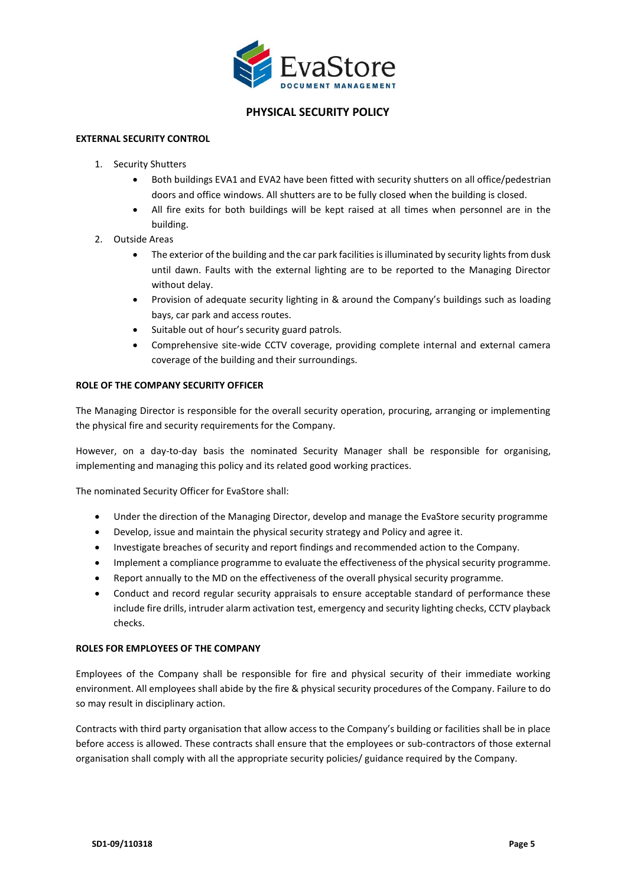

### **EXTERNAL SECURITY CONTROL**

- 1. Security Shutters
	- Both buildings EVA1 and EVA2 have been fitted with security shutters on all office/pedestrian doors and office windows. All shutters are to be fully closed when the building is closed.
	- All fire exits for both buildings will be kept raised at all times when personnel are in the building.
- 2. Outside Areas
	- The exterior of the building and the car park facilities is illuminated by security lights from dusk until dawn. Faults with the external lighting are to be reported to the Managing Director without delay.
	- Provision of adequate security lighting in & around the Company's buildings such as loading bays, car park and access routes.
	- Suitable out of hour's security guard patrols.
	- Comprehensive site-wide CCTV coverage, providing complete internal and external camera coverage of the building and their surroundings.

### **ROLE OF THE COMPANY SECURITY OFFICER**

The Managing Director is responsible for the overall security operation, procuring, arranging or implementing the physical fire and security requirements for the Company.

However, on a day-to-day basis the nominated Security Manager shall be responsible for organising, implementing and managing this policy and its related good working practices.

The nominated Security Officer for EvaStore shall:

- Under the direction of the Managing Director, develop and manage the EvaStore security programme
- Develop, issue and maintain the physical security strategy and Policy and agree it.
- Investigate breaches of security and report findings and recommended action to the Company.
- Implement a compliance programme to evaluate the effectiveness of the physical security programme.
- Report annually to the MD on the effectiveness of the overall physical security programme.
- Conduct and record regular security appraisals to ensure acceptable standard of performance these include fire drills, intruder alarm activation test, emergency and security lighting checks, CCTV playback checks.

#### **ROLES FOR EMPLOYEES OF THE COMPANY**

Employees of the Company shall be responsible for fire and physical security of their immediate working environment. All employees shall abide by the fire & physical security procedures of the Company. Failure to do so may result in disciplinary action.

Contracts with third party organisation that allow access to the Company's building or facilities shall be in place before access is allowed. These contracts shall ensure that the employees or sub-contractors of those external organisation shall comply with all the appropriate security policies/ guidance required by the Company.